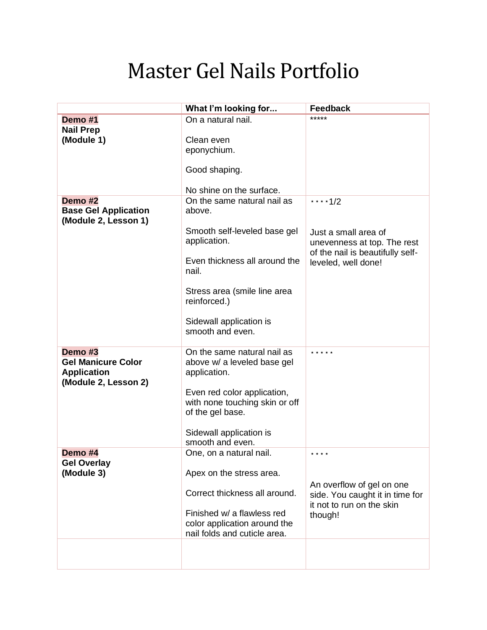## Master Gel Nails Portfolio

|                             | What I'm looking for                                    | <b>Feedback</b>                                                 |
|-----------------------------|---------------------------------------------------------|-----------------------------------------------------------------|
| Demo #1                     | On a natural nail.                                      | *****                                                           |
| <b>Nail Prep</b>            |                                                         |                                                                 |
| (Module 1)                  | Clean even                                              |                                                                 |
|                             | eponychium.                                             |                                                                 |
|                             | Good shaping.                                           |                                                                 |
|                             |                                                         |                                                                 |
| Demo #2                     | No shine on the surface.<br>On the same natural nail as |                                                                 |
| <b>Base Gel Application</b> | above.                                                  | ****1/2                                                         |
| (Module 2, Lesson 1)        | Smooth self-leveled base gel                            |                                                                 |
|                             | application.                                            | Just a small area of                                            |
|                             |                                                         | unevenness at top. The rest<br>of the nail is beautifully self- |
|                             | Even thickness all around the<br>nail.                  | leveled, well done!                                             |
|                             |                                                         |                                                                 |
|                             | Stress area (smile line area<br>reinforced.)            |                                                                 |
|                             |                                                         |                                                                 |
|                             | Sidewall application is<br>smooth and even.             |                                                                 |
|                             |                                                         |                                                                 |
| Demo #3                     | On the same natural nail as                             | * * * * *                                                       |
| <b>Gel Manicure Color</b>   | above w/ a leveled base gel                             |                                                                 |
| <b>Application</b>          | application.                                            |                                                                 |
| (Module 2, Lesson 2)        |                                                         |                                                                 |
|                             | Even red color application,                             |                                                                 |
|                             | with none touching skin or off                          |                                                                 |
|                             | of the gel base.                                        |                                                                 |
|                             | Sidewall application is                                 |                                                                 |
|                             | smooth and even.                                        |                                                                 |
| Demo #4                     | One, on a natural nail.                                 | * * * *                                                         |
| <b>Gel Overlay</b>          |                                                         |                                                                 |
| (Module 3)                  | Apex on the stress area.                                |                                                                 |
|                             | Correct thickness all around.                           | An overflow of gel on one                                       |
|                             |                                                         | side. You caught it in time for<br>it not to run on the skin    |
|                             | Finished w/ a flawless red                              | though!                                                         |
|                             | color application around the                            |                                                                 |
|                             | nail folds and cuticle area.                            |                                                                 |
|                             |                                                         |                                                                 |
|                             |                                                         |                                                                 |
|                             |                                                         |                                                                 |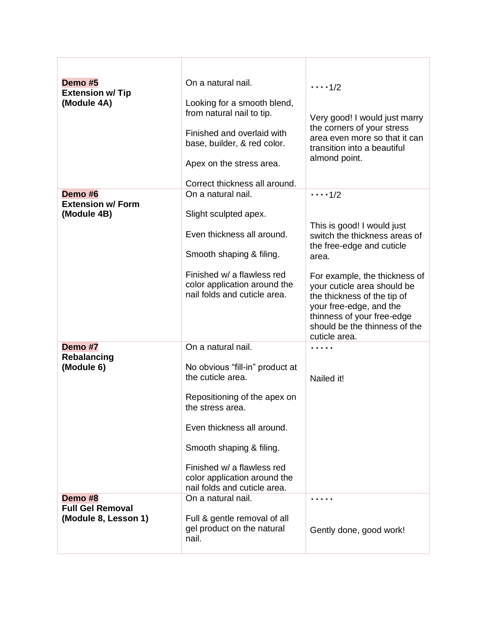| Demo #5<br><b>Extension w/ Tip</b><br>(Module 4A) | On a natural nail.<br>Looking for a smooth blend,<br>from natural nail to tip.<br>Finished and overlaid with<br>base, builder, & red color.<br>Apex on the stress area.                                                                                          | ****1/2<br>Very good! I would just marry<br>the corners of your stress<br>area even more so that it can<br>transition into a beautiful<br>almond point.                                                                                                                                                     |
|---------------------------------------------------|------------------------------------------------------------------------------------------------------------------------------------------------------------------------------------------------------------------------------------------------------------------|-------------------------------------------------------------------------------------------------------------------------------------------------------------------------------------------------------------------------------------------------------------------------------------------------------------|
| Demo #6                                           | Correct thickness all around.<br>On a natural nail.                                                                                                                                                                                                              | ****1/2                                                                                                                                                                                                                                                                                                     |
| <b>Extension w/ Form</b><br>(Module 4B)           | Slight sculpted apex.<br>Even thickness all around.<br>Smooth shaping & filing.<br>Finished w/ a flawless red<br>color application around the<br>nail folds and cuticle area.                                                                                    | This is good! I would just<br>switch the thickness areas of<br>the free-edge and cuticle<br>area.<br>For example, the thickness of<br>your cuticle area should be<br>the thickness of the tip of<br>your free-edge, and the<br>thinness of your free-edge<br>should be the thinness of the<br>cuticle area. |
| Demo #7                                           | On a natural nail.                                                                                                                                                                                                                                               | * * * * *                                                                                                                                                                                                                                                                                                   |
| Rebalancing<br>(Module 6)                         | No obvious "fill-in" product at<br>the cuticle area.<br>Repositioning of the apex on<br>the stress area.<br>Even thickness all around.<br>Smooth shaping & filing.<br>Finished w/ a flawless red<br>color application around the<br>nail folds and cuticle area. | Nailed it!                                                                                                                                                                                                                                                                                                  |
| Demo #8<br><b>Full Gel Removal</b>                | On a natural nail.                                                                                                                                                                                                                                               |                                                                                                                                                                                                                                                                                                             |
| (Module 8, Lesson 1)                              | Full & gentle removal of all<br>gel product on the natural<br>nail.                                                                                                                                                                                              | Gently done, good work!                                                                                                                                                                                                                                                                                     |